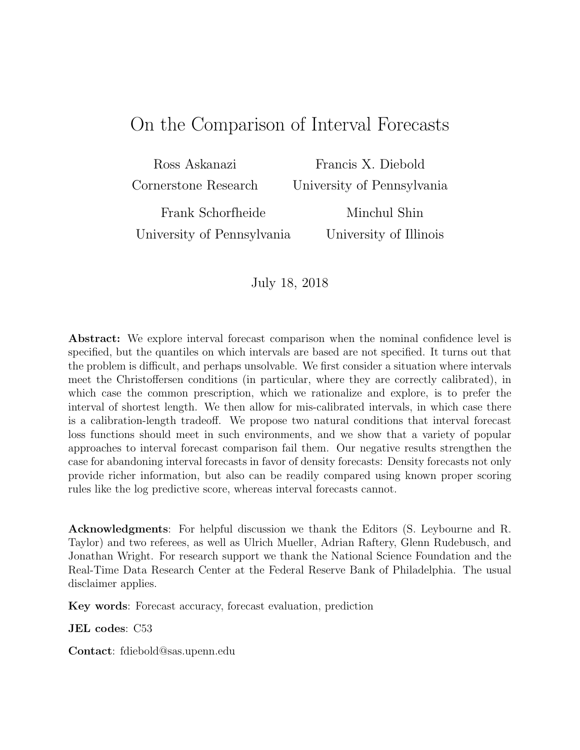## On the Comparison of Interval Forecasts

| Ross Askanazi        | Francis X. Diebold         |
|----------------------|----------------------------|
| Cornerstone Research | University of Pennsylvania |

Frank Schorfheide University of Pennsylvania

Minchul Shin University of Illinois

July 18, 2018

Abstract: We explore interval forecast comparison when the nominal confidence level is specified, but the quantiles on which intervals are based are not specified. It turns out that the problem is difficult, and perhaps unsolvable. We first consider a situation where intervals meet the Christoffersen conditions (in particular, where they are correctly calibrated), in which case the common prescription, which we rationalize and explore, is to prefer the interval of shortest length. We then allow for mis-calibrated intervals, in which case there is a calibration-length tradeoff. We propose two natural conditions that interval forecast loss functions should meet in such environments, and we show that a variety of popular approaches to interval forecast comparison fail them. Our negative results strengthen the case for abandoning interval forecasts in favor of density forecasts: Density forecasts not only provide richer information, but also can be readily compared using known proper scoring rules like the log predictive score, whereas interval forecasts cannot.

Acknowledgments: For helpful discussion we thank the Editors (S. Leybourne and R. Taylor) and two referees, as well as Ulrich Mueller, Adrian Raftery, Glenn Rudebusch, and Jonathan Wright. For research support we thank the National Science Foundation and the Real-Time Data Research Center at the Federal Reserve Bank of Philadelphia. The usual disclaimer applies.

Key words: Forecast accuracy, forecast evaluation, prediction

JEL codes: C53

Contact: fdiebold@sas.upenn.edu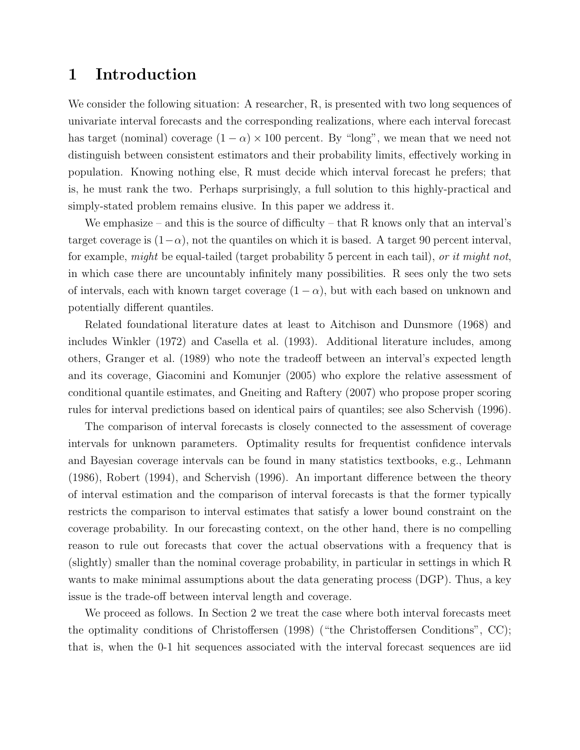## 1 Introduction

We consider the following situation: A researcher, R, is presented with two long sequences of univariate interval forecasts and the corresponding realizations, where each interval forecast has target (nominal) coverage  $(1 - \alpha) \times 100$  percent. By "long", we mean that we need not distinguish between consistent estimators and their probability limits, effectively working in population. Knowing nothing else, R must decide which interval forecast he prefers; that is, he must rank the two. Perhaps surprisingly, a full solution to this highly-practical and simply-stated problem remains elusive. In this paper we address it.

We emphasize – and this is the source of difficulty – that R knows only that an interval's target coverage is  $(1-\alpha)$ , not the quantiles on which it is based. A target 90 percent interval, for example, *might* be equal-tailed (target probability 5 percent in each tail), or it might not, in which case there are uncountably infinitely many possibilities. R sees only the two sets of intervals, each with known target coverage  $(1 - \alpha)$ , but with each based on unknown and potentially different quantiles.

Related foundational literature dates at least to [Aitchison and Dunsmore](#page-20-0) [\(1968\)](#page-20-0) and includes [Winkler](#page-21-0) [\(1972\)](#page-21-0) and [Casella et al.](#page-20-1) [\(1993\)](#page-20-1). Additional literature includes, among others, [Granger et al.](#page-20-2) [\(1989\)](#page-20-2) who note the tradeoff between an interval's expected length and its coverage, [Giacomini and Komunjer](#page-20-3) [\(2005\)](#page-20-3) who explore the relative assessment of conditional quantile estimates, and [Gneiting and Raftery](#page-20-4) [\(2007\)](#page-20-4) who propose proper scoring rules for interval predictions based on identical pairs of quantiles; see also [Schervish](#page-21-1) [\(1996\)](#page-21-1).

The comparison of interval forecasts is closely connected to the assessment of coverage intervals for unknown parameters. Optimality results for frequentist confidence intervals and Bayesian coverage intervals can be found in many statistics textbooks, e.g., [Lehmann](#page-21-2) [\(1986\)](#page-21-2), [Robert](#page-21-3) [\(1994\)](#page-21-3), and [Schervish](#page-21-1) [\(1996\)](#page-21-1). An important difference between the theory of interval estimation and the comparison of interval forecasts is that the former typically restricts the comparison to interval estimates that satisfy a lower bound constraint on the coverage probability. In our forecasting context, on the other hand, there is no compelling reason to rule out forecasts that cover the actual observations with a frequency that is (slightly) smaller than the nominal coverage probability, in particular in settings in which R wants to make minimal assumptions about the data generating process (DGP). Thus, a key issue is the trade-off between interval length and coverage.

We proceed as follows. In Section [2](#page-2-0) we treat the case where both interval forecasts meet the optimality conditions of [Christoffersen](#page-20-5) [\(1998\)](#page-20-5) ("the Christoffersen Conditions", CC); that is, when the 0-1 hit sequences associated with the interval forecast sequences are iid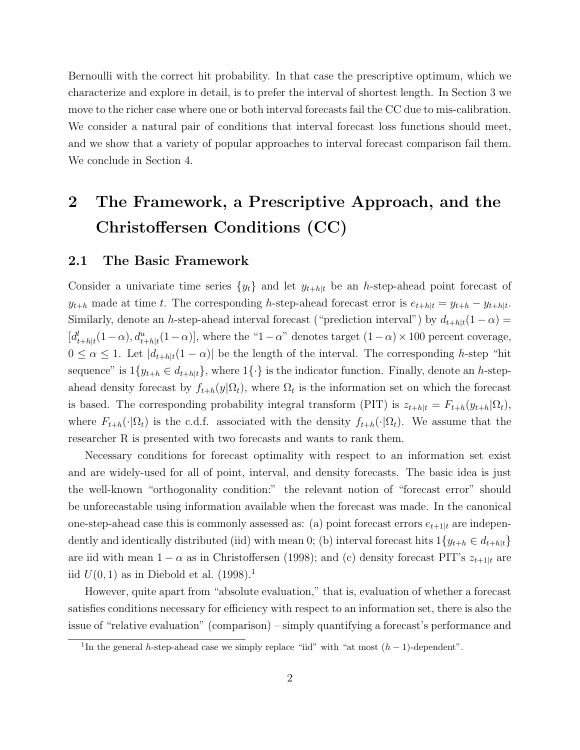Bernoulli with the correct hit probability. In that case the prescriptive optimum, which we characterize and explore in detail, is to prefer the interval of shortest length. In Section [3](#page-6-0) we move to the richer case where one or both interval forecasts fail the CC due to mis-calibration. We consider a natural pair of conditions that interval forecast loss functions should meet, and we show that a variety of popular approaches to interval forecast comparison fail them. We conclude in Section [4.](#page-15-0)

# <span id="page-2-0"></span>2 The Framework, a Prescriptive Approach, and the Christoffersen Conditions (CC)

#### 2.1 The Basic Framework

Consider a univariate time series  $\{y_t\}$  and let  $y_{t+h|t}$  be an h-step-ahead point forecast of  $y_{t+h}$  made at time t. The corresponding h-step-ahead forecast error is  $e_{t+h|t} = y_{t+h} - y_{t+h|t}$ . Similarly, denote an h-step-ahead interval forecast ("prediction interval") by  $d_{t+h|t}(1-\alpha)$  =  $[d'_{t+h|t}(1-\alpha), d''_{t+h|t}(1-\alpha)]$ , where the "1 - α" denotes target  $(1-\alpha) \times 100$  percent coverage,  $0 \leq \alpha \leq 1$ . Let  $|d_{t+h|t}(1-\alpha)|$  be the length of the interval. The corresponding h-step "hit sequence" is  $1\{y_{t+h} \in d_{t+h|t}\}\$ , where  $1\{\cdot\}$  is the indicator function. Finally, denote an h-stepahead density forecast by  $f_{t+h}(y|\Omega_t)$ , where  $\Omega_t$  is the information set on which the forecast is based. The corresponding probability integral transform (PIT) is  $z_{t+h|t} = F_{t+h}(y_{t+h}|\Omega_t)$ , where  $F_{t+h}(\cdot|\Omega_t)$  is the c.d.f. associated with the density  $f_{t+h}(\cdot|\Omega_t)$ . We assume that the researcher R is presented with two forecasts and wants to rank them.

Necessary conditions for forecast optimality with respect to an information set exist and are widely-used for all of point, interval, and density forecasts. The basic idea is just the well-known "orthogonality condition:" the relevant notion of "forecast error" should be unforecastable using information available when the forecast was made. In the canonical one-step-ahead case this is commonly assessed as: (a) point forecast errors  $e_{t+1|t}$  are independently and identically distributed (iid) with mean 0; (b) interval forecast hits  $1\{y_{t+h} \in d_{t+h|t}\}\$ are iid with mean  $1 - \alpha$  as in [Christoffersen](#page-20-5) [\(1998\)](#page-20-5); and (c) density forecast PIT's  $z_{t+1|t}$  are iid  $U(0, 1)$  $U(0, 1)$  $U(0, 1)$  as in [Diebold et al.](#page-20-6) [\(1998\)](#page-20-6).<sup>1</sup>

However, quite apart from "absolute evaluation," that is, evaluation of whether a forecast satisfies conditions necessary for efficiency with respect to an information set, there is also the issue of "relative evaluation" (comparison) – simply quantifying a forecast's performance and

<span id="page-2-1"></span><sup>&</sup>lt;sup>1</sup>In the general h-step-ahead case we simply replace "iid" with "at most  $(h-1)$ -dependent".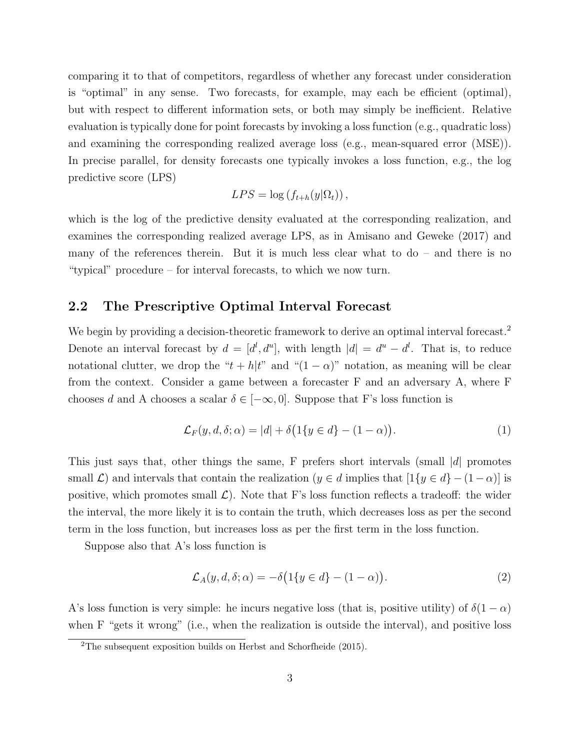comparing it to that of competitors, regardless of whether any forecast under consideration is "optimal" in any sense. Two forecasts, for example, may each be efficient (optimal), but with respect to different information sets, or both may simply be inefficient. Relative evaluation is typically done for point forecasts by invoking a loss function (e.g., quadratic loss) and examining the corresponding realized average loss (e.g., mean-squared error (MSE)). In precise parallel, for density forecasts one typically invokes a loss function, e.g., the log predictive score (LPS)

$$
LPS = \log (f_{t+h}(y|\Omega_t)),
$$

which is the log of the predictive density evaluated at the corresponding realization, and examines the corresponding realized average LPS, as in [Amisano and Geweke](#page-20-7) [\(2017\)](#page-20-7) and many of the references therein. But it is much less clear what to do – and there is no "typical" procedure – for interval forecasts, to which we now turn.

#### <span id="page-3-1"></span>2.2 The Prescriptive Optimal Interval Forecast

We begin by providing a decision-theoretic framework to derive an optimal interval forecast.<sup>[2](#page-3-0)</sup> Denote an interval forecast by  $d = [d^l, d^u]$ , with length  $|d| = d^u - d^l$ . That is, to reduce notational clutter, we drop the " $t + h|t$ " and " $(1 - \alpha)$ " notation, as meaning will be clear from the context. Consider a game between a forecaster F and an adversary A, where F chooses d and A chooses a scalar  $\delta \in [-\infty, 0]$ . Suppose that F's loss function is

$$
\mathcal{L}_F(y, d, \delta; \alpha) = |d| + \delta \big( 1\{ y \in d \} - (1 - \alpha) \big). \tag{1}
$$

This just says that, other things the same, F prefers short intervals (small  $|d|$  promotes small  $\mathcal{L}$ ) and intervals that contain the realization ( $y \in d$  implies that  $[1\{y \in d\} - (1 - \alpha)]$  is positive, which promotes small  $\mathcal{L}$ ). Note that F's loss function reflects a tradeoff: the wider the interval, the more likely it is to contain the truth, which decreases loss as per the second term in the loss function, but increases loss as per the first term in the loss function.

Suppose also that A's loss function is

$$
\mathcal{L}_A(y, d, \delta; \alpha) = -\delta \big( 1\{ y \in d \} - (1 - \alpha) \big). \tag{2}
$$

A's loss function is very simple: he incurs negative loss (that is, positive utility) of  $\delta(1-\alpha)$ when F "gets it wrong" (i.e., when the realization is outside the interval), and positive loss

<span id="page-3-0"></span><sup>2</sup>The subsequent exposition builds on [Herbst and Schorfheide](#page-20-8) [\(2015\)](#page-20-8).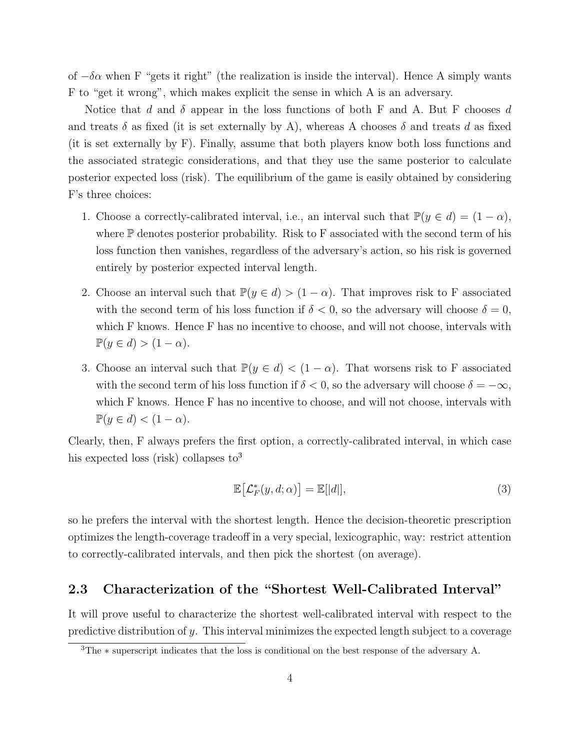of  $-\delta\alpha$  when F "gets it right" (the realization is inside the interval). Hence A simply wants F to "get it wrong", which makes explicit the sense in which A is an adversary.

Notice that d and  $\delta$  appear in the loss functions of both F and A. But F chooses d and treats  $\delta$  as fixed (it is set externally by A), whereas A chooses  $\delta$  and treats d as fixed (it is set externally by F). Finally, assume that both players know both loss functions and the associated strategic considerations, and that they use the same posterior to calculate posterior expected loss (risk). The equilibrium of the game is easily obtained by considering F's three choices:

- 1. Choose a correctly-calibrated interval, i.e., an interval such that  $\mathbb{P}(y \in d) = (1 \alpha)$ , where  $\mathbb P$  denotes posterior probability. Risk to F associated with the second term of his loss function then vanishes, regardless of the adversary's action, so his risk is governed entirely by posterior expected interval length.
- 2. Choose an interval such that  $\mathbb{P}(y \in d) > (1 \alpha)$ . That improves risk to F associated with the second term of his loss function if  $\delta < 0$ , so the adversary will choose  $\delta = 0$ , which F knows. Hence F has no incentive to choose, and will not choose, intervals with  $\mathbb{P}(y \in d) > (1 - \alpha).$
- 3. Choose an interval such that  $\mathbb{P}(y \in d) < (1 \alpha)$ . That worsens risk to F associated with the second term of his loss function if  $\delta < 0$ , so the adversary will choose  $\delta = -\infty$ , which F knows. Hence F has no incentive to choose, and will not choose, intervals with  $\mathbb{P}(y \in d) < (1 - \alpha).$

Clearly, then, F always prefers the first option, a correctly-calibrated interval, in which case his expected loss (risk) collapses  $to^3$  $to^3$ 

$$
\mathbb{E}\big[\mathcal{L}_F^*(y,d;\alpha)\big] = \mathbb{E}[|d|],\tag{3}
$$

so he prefers the interval with the shortest length. Hence the decision-theoretic prescription optimizes the length-coverage tradeoff in a very special, lexicographic, way: restrict attention to correctly-calibrated intervals, and then pick the shortest (on average).

## <span id="page-4-1"></span>2.3 Characterization of the "Shortest Well-Calibrated Interval"

It will prove useful to characterize the shortest well-calibrated interval with respect to the predictive distribution of y. This interval minimizes the expected length subject to a coverage

<span id="page-4-0"></span><sup>3</sup>The ∗ superscript indicates that the loss is conditional on the best response of the adversary A.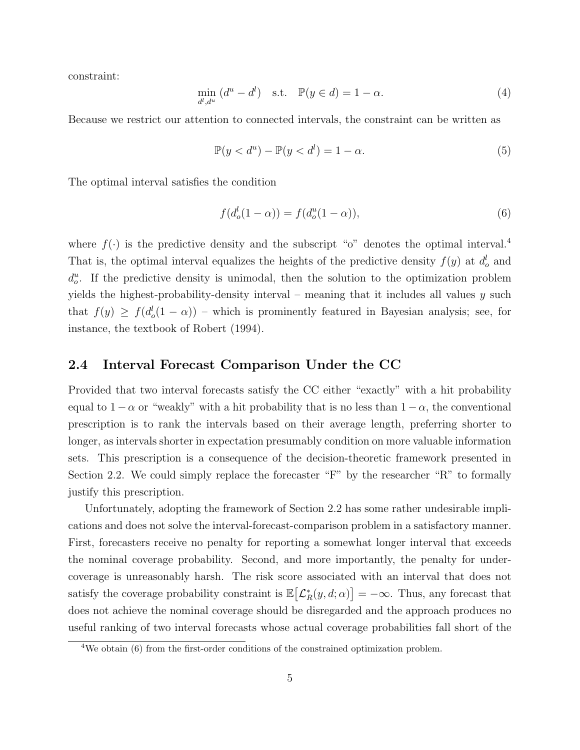constraint:

$$
\min_{d^l, d^u} (d^u - d^l) \quad \text{s.t.} \quad \mathbb{P}(y \in d) = 1 - \alpha. \tag{4}
$$

Because we restrict our attention to connected intervals, the constraint can be written as

$$
\mathbb{P}(y < d^u) - \mathbb{P}(y < d^l) = 1 - \alpha. \tag{5}
$$

The optimal interval satisfies the condition

<span id="page-5-1"></span>
$$
f(d_o^l(1 - \alpha)) = f(d_o^u(1 - \alpha)),
$$
\n(6)

where  $f(\cdot)$  is the predictive density and the subscript "o" denotes the optimal interval.<sup>[4](#page-5-0)</sup> That is, the optimal interval equalizes the heights of the predictive density  $f(y)$  at  $d_o^l$  and  $d_o^u$ . If the predictive density is unimodal, then the solution to the optimization problem yields the highest-probability-density interval – meaning that it includes all values  $y$  such that  $f(y) \ge f(d_0^l(1-\alpha))$  – which is prominently featured in Bayesian analysis; see, for instance, the textbook of [Robert](#page-21-3) [\(1994\)](#page-21-3).

#### 2.4 Interval Forecast Comparison Under the CC

Provided that two interval forecasts satisfy the CC either "exactly" with a hit probability equal to  $1 - \alpha$  or "weakly" with a hit probability that is no less than  $1 - \alpha$ , the conventional prescription is to rank the intervals based on their average length, preferring shorter to longer, as intervals shorter in expectation presumably condition on more valuable information sets. This prescription is a consequence of the decision-theoretic framework presented in Section [2.2.](#page-3-1) We could simply replace the forecaster "F" by the researcher "R" to formally justify this prescription.

Unfortunately, adopting the framework of Section [2.2](#page-3-1) has some rather undesirable implications and does not solve the interval-forecast-comparison problem in a satisfactory manner. First, forecasters receive no penalty for reporting a somewhat longer interval that exceeds the nominal coverage probability. Second, and more importantly, the penalty for undercoverage is unreasonably harsh. The risk score associated with an interval that does not satisfy the coverage probability constraint is  $\mathbb{E}\big[\mathcal{L}_R^*(y,d;\alpha)\big] = -\infty$ . Thus, any forecast that does not achieve the nominal coverage should be disregarded and the approach produces no useful ranking of two interval forecasts whose actual coverage probabilities fall short of the

<span id="page-5-0"></span><sup>4</sup>We obtain [\(6\)](#page-5-1) from the first-order conditions of the constrained optimization problem.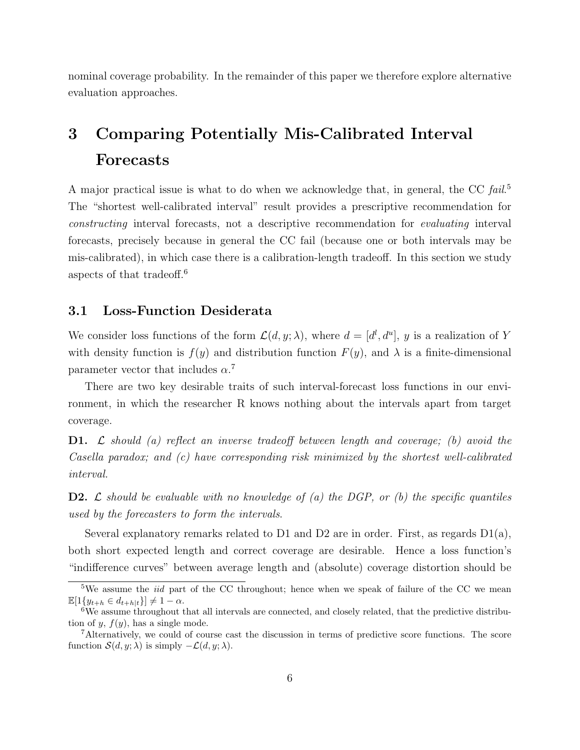nominal coverage probability. In the remainder of this paper we therefore explore alternative evaluation approaches.

# <span id="page-6-0"></span>3 Comparing Potentially Mis-Calibrated Interval Forecasts

A major practical issue is what to do when we acknowledge that, in general, the CC fail.<sup>[5](#page-6-1)</sup> The "shortest well-calibrated interval" result provides a prescriptive recommendation for constructing interval forecasts, not a descriptive recommendation for evaluating interval forecasts, precisely because in general the CC fail (because one or both intervals may be mis-calibrated), in which case there is a calibration-length tradeoff. In this section we study aspects of that tradeoff.[6](#page-6-2)

#### 3.1 Loss-Function Desiderata

We consider loss functions of the form  $\mathcal{L}(d, y; \lambda)$ , where  $d = [d^l, d^u]$ , y is a realization of Y with density function is  $f(y)$  and distribution function  $F(y)$ , and  $\lambda$  is a finite-dimensional parameter vector that includes  $\alpha$ <sup>[7](#page-6-3)</sup>

There are two key desirable traits of such interval-forecast loss functions in our environment, in which the researcher R knows nothing about the intervals apart from target coverage.

**D1.**  $\mathcal L$  should (a) reflect an inverse tradeoff between length and coverage; (b) avoid the Casella paradox; and (c) have corresponding risk minimized by the shortest well-calibrated interval.

**D2.** L should be evaluable with no knowledge of (a) the DGP, or (b) the specific quantiles used by the forecasters to form the intervals.

Several explanatory remarks related to  $D1$  and  $D2$  are in order. First, as regards  $D1(a)$ , both short expected length and correct coverage are desirable. Hence a loss function's "indifference curves" between average length and (absolute) coverage distortion should be

<span id="page-6-1"></span><sup>&</sup>lt;sup>5</sup>We assume the *iid* part of the CC throughout; hence when we speak of failure of the CC we mean  $\mathbb{E}[1\{y_{t+h} \in d_{t+h|t}\}] \neq 1-\alpha.$ 

<span id="page-6-2"></span> $6W$ e assume throughout that all intervals are connected, and closely related, that the predictive distribution of  $y, f(y)$ , has a single mode.

<span id="page-6-3"></span><sup>7</sup>Alternatively, we could of course cast the discussion in terms of predictive score functions. The score function  $\mathcal{S}(d, y; \lambda)$  is simply  $-\mathcal{L}(d, y; \lambda)$ .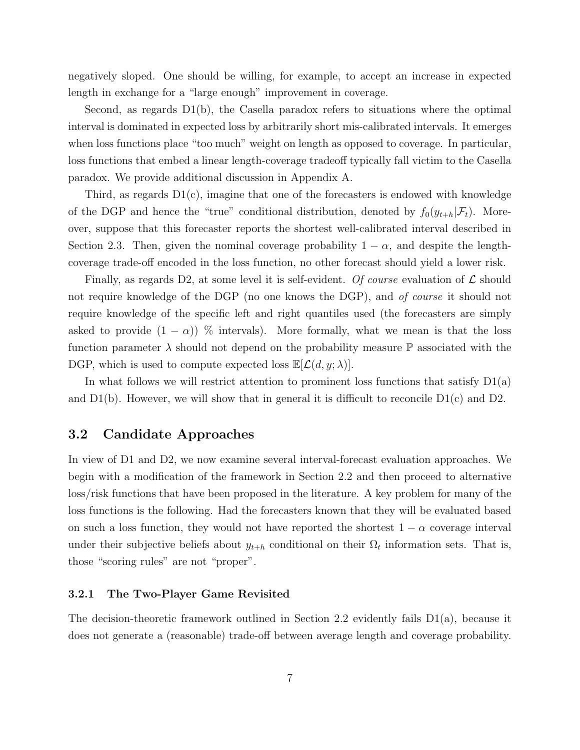negatively sloped. One should be willing, for example, to accept an increase in expected length in exchange for a "large enough" improvement in coverage.

Second, as regards D1(b), the Casella paradox refers to situations where the optimal interval is dominated in expected loss by arbitrarily short mis-calibrated intervals. It emerges when loss functions place "too much" weight on length as opposed to coverage. In particular, loss functions that embed a linear length-coverage tradeoff typically fall victim to the Casella paradox. We provide additional discussion in Appendix [A.](#page-17-0)

Third, as regards  $D_1(c)$ , imagine that one of the forecasters is endowed with knowledge of the DGP and hence the "true" conditional distribution, denoted by  $f_0(y_{t+h}|\mathcal{F}_t)$ . Moreover, suppose that this forecaster reports the shortest well-calibrated interval described in Section [2.3.](#page-4-1) Then, given the nominal coverage probability  $1 - \alpha$ , and despite the lengthcoverage trade-off encoded in the loss function, no other forecast should yield a lower risk.

Finally, as regards D2, at some level it is self-evident. Of course evaluation of  $\mathcal L$  should not require knowledge of the DGP (no one knows the DGP), and of course it should not require knowledge of the specific left and right quantiles used (the forecasters are simply asked to provide  $(1 - \alpha)$ ) % intervals). More formally, what we mean is that the loss function parameter  $\lambda$  should not depend on the probability measure  $\mathbb P$  associated with the DGP, which is used to compute expected loss  $\mathbb{E}[\mathcal{L}(d, y; \lambda)].$ 

In what follows we will restrict attention to prominent loss functions that satisfy D1(a) and  $D1(b)$ . However, we will show that in general it is difficult to reconcile  $D1(c)$  and  $D2$ .

#### 3.2 Candidate Approaches

In view of D1 and D2, we now examine several interval-forecast evaluation approaches. We begin with a modification of the framework in Section [2.2](#page-3-1) and then proceed to alternative loss/risk functions that have been proposed in the literature. A key problem for many of the loss functions is the following. Had the forecasters known that they will be evaluated based on such a loss function, they would not have reported the shortest  $1 - \alpha$  coverage interval under their subjective beliefs about  $y_{t+h}$  conditional on their  $\Omega_t$  information sets. That is, those "scoring rules" are not "proper".

#### <span id="page-7-0"></span>3.2.1 The Two-Player Game Revisited

The decision-theoretic framework outlined in Section [2.2](#page-3-1) evidently fails D1(a), because it does not generate a (reasonable) trade-off between average length and coverage probability.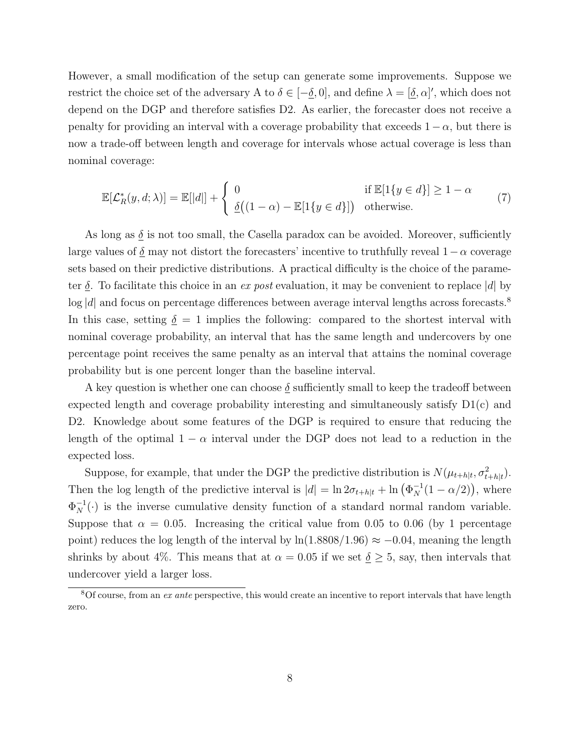However, a small modification of the setup can generate some improvements. Suppose we restrict the choice set of the adversary A to  $\delta \in [-\underline{\delta}, 0]$ , and define  $\lambda = [\underline{\delta}, \alpha]'$ , which does not depend on the DGP and therefore satisfies D2. As earlier, the forecaster does not receive a penalty for providing an interval with a coverage probability that exceeds  $1 - \alpha$ , but there is now a trade-off between length and coverage for intervals whose actual coverage is less than nominal coverage:

<span id="page-8-1"></span>
$$
\mathbb{E}[\mathcal{L}_R^*(y, d; \lambda)] = \mathbb{E}[|d|] + \begin{cases} 0 & \text{if } \mathbb{E}[1\{y \in d\}] \ge 1 - \alpha \\ \underline{\delta}((1 - \alpha) - \mathbb{E}[1\{y \in d\}]) & \text{otherwise.} \end{cases}
$$
(7)

As long as  $\delta$  is not too small, the Casella paradox can be avoided. Moreover, sufficiently large values of  $\delta$  may not distort the forecasters' incentive to truthfully reveal  $1 - \alpha$  coverage sets based on their predictive distributions. A practical difficulty is the choice of the parameter  $\delta$ . To facilitate this choice in an ex post evaluation, it may be convenient to replace |d| by  $\log |d|$  and focus on percentage differences between average interval lengths across forecasts.<sup>[8](#page-8-0)</sup> In this case, setting  $\delta = 1$  implies the following: compared to the shortest interval with nominal coverage probability, an interval that has the same length and undercovers by one percentage point receives the same penalty as an interval that attains the nominal coverage probability but is one percent longer than the baseline interval.

A key question is whether one can choose  $\delta$  sufficiently small to keep the tradeoff between expected length and coverage probability interesting and simultaneously satisfy D1(c) and D2. Knowledge about some features of the DGP is required to ensure that reducing the length of the optimal  $1 - \alpha$  interval under the DGP does not lead to a reduction in the expected loss.

Suppose, for example, that under the DGP the predictive distribution is  $N(\mu_{t+h|t}, \sigma_{t+h|t}^2)$ . Then the log length of the predictive interval is  $|d| = \ln 2\sigma_{t+h|t} + \ln (\Phi_N^{-1}(1 - \alpha/2))$ , where  $\Phi_N^{-1}(\cdot)$  is the inverse cumulative density function of a standard normal random variable. Suppose that  $\alpha = 0.05$ . Increasing the critical value from 0.05 to 0.06 (by 1 percentage point) reduces the log length of the interval by  $\ln(1.8808/1.96) \approx -0.04$ , meaning the length shrinks by about 4%. This means that at  $\alpha = 0.05$  if we set  $\delta \geq 5$ , say, then intervals that undercover yield a larger loss.

<span id="page-8-0"></span> $8$ Of course, from an *ex ante* perspective, this would create an incentive to report intervals that have length zero.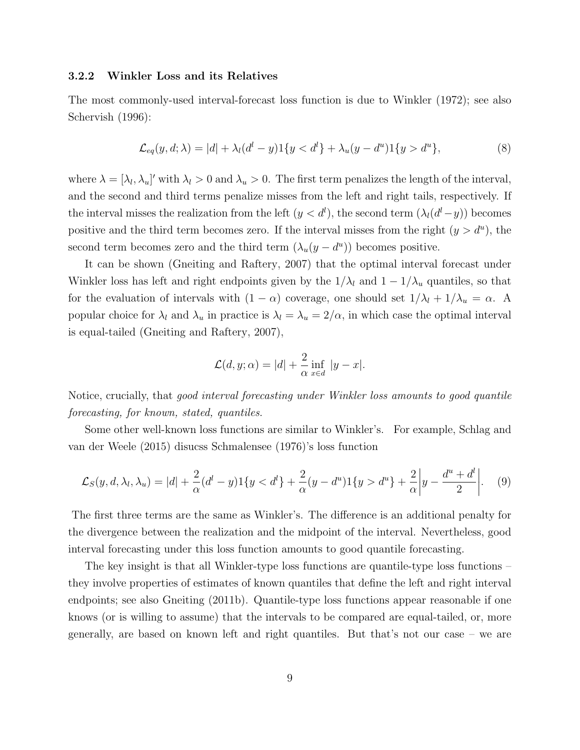#### 3.2.2 Winkler Loss and its Relatives

The most commonly-used interval-forecast loss function is due to [Winkler](#page-21-0) [\(1972\)](#page-21-0); see also [Schervish](#page-21-1) [\(1996\)](#page-21-1):

$$
\mathcal{L}_{eq}(y, d; \lambda) = |d| + \lambda_l (d^l - y) \mathbf{1}\{y < d^l\} + \lambda_u (y - d^u) \mathbf{1}\{y > d^u\},\tag{8}
$$

where  $\lambda = [\lambda_l, \lambda_u]'$  with  $\lambda_l > 0$  and  $\lambda_u > 0$ . The first term penalizes the length of the interval, and the second and third terms penalize misses from the left and right tails, respectively. If the interval misses the realization from the left  $(y < d<sup>l</sup>)$ , the second term  $(\lambda_l(d<sup>l</sup> - y))$  becomes positive and the third term becomes zero. If the interval misses from the right  $(y > d<sup>u</sup>)$ , the second term becomes zero and the third term  $(\lambda_u(y - d^u))$  becomes positive.

It can be shown [\(Gneiting and Raftery, 2007\)](#page-20-4) that the optimal interval forecast under Winkler loss has left and right endpoints given by the  $1/\lambda_l$  and  $1 - 1/\lambda_u$  quantiles, so that for the evaluation of intervals with  $(1 - \alpha)$  coverage, one should set  $1/\lambda_l + 1/\lambda_u = \alpha$ . A popular choice for  $\lambda_l$  and  $\lambda_u$  in practice is  $\lambda_l = \lambda_u = 2/\alpha$ , in which case the optimal interval is equal-tailed [\(Gneiting and Raftery, 2007\)](#page-20-4),

$$
\mathcal{L}(d, y; \alpha) = |d| + \frac{2}{\alpha} \inf_{x \in d} |y - x|.
$$

Notice, crucially, that good interval forecasting under Winkler loss amounts to good quantile forecasting, for known, stated, quantiles.

Some other well-known loss functions are similar to Winkler's. For example, [Schlag and](#page-21-4) [van der Weele](#page-21-4) [\(2015\)](#page-21-4) disucss [Schmalensee](#page-21-5) [\(1976\)](#page-21-5)'s loss function

$$
\mathcal{L}_S(y, d, \lambda_l, \lambda_u) = |d| + \frac{2}{\alpha} (d^l - y) \mathbb{1}\{y < d^l\} + \frac{2}{\alpha} (y - d^u) \mathbb{1}\{y > d^u\} + \frac{2}{\alpha} \left| y - \frac{d^u + d^l}{2} \right|.
$$
 (9)

The first three terms are the same as Winkler's. The difference is an additional penalty for the divergence between the realization and the midpoint of the interval. Nevertheless, good interval forecasting under this loss function amounts to good quantile forecasting.

The key insight is that all Winkler-type loss functions are quantile-type loss functions – they involve properties of estimates of known quantiles that define the left and right interval endpoints; see also [Gneiting](#page-20-9) [\(2011b\)](#page-20-9). Quantile-type loss functions appear reasonable if one knows (or is willing to assume) that the intervals to be compared are equal-tailed, or, more generally, are based on known left and right quantiles. But that's not our case – we are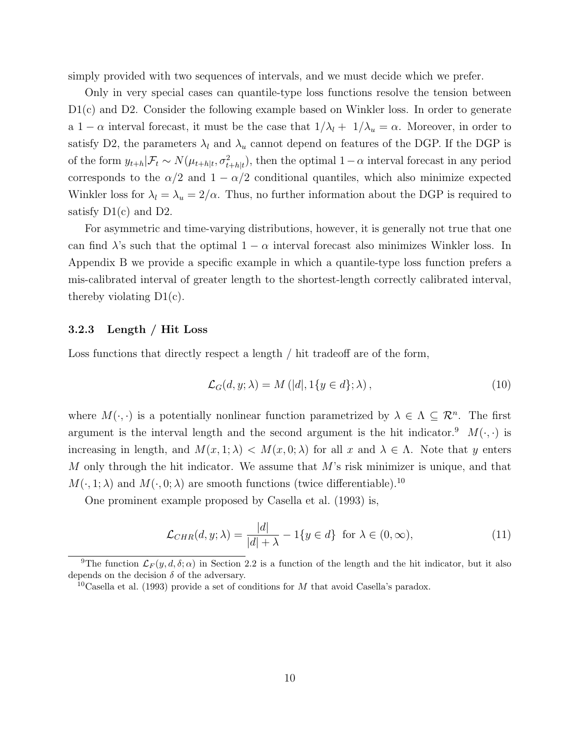simply provided with two sequences of intervals, and we must decide which we prefer.

Only in very special cases can quantile-type loss functions resolve the tension between D<sub>1</sub>(c) and D<sub>2</sub>. Consider the following example based on Winkler loss. In order to generate a 1 –  $\alpha$  interval forecast, it must be the case that  $1/\lambda_l + 1/\lambda_u = \alpha$ . Moreover, in order to satisfy D2, the parameters  $\lambda_l$  and  $\lambda_u$  cannot depend on features of the DGP. If the DGP is of the form  $y_{t+h}|\mathcal{F}_t \sim N(\mu_{t+h|t}, \sigma_{t+h|t}^2)$ , then the optimal  $1-\alpha$  interval forecast in any period corresponds to the  $\alpha/2$  and  $1 - \alpha/2$  conditional quantiles, which also minimize expected Winkler loss for  $\lambda_l = \lambda_u = 2/\alpha$ . Thus, no further information about the DGP is required to satisfy D1(c) and D2.

For asymmetric and time-varying distributions, however, it is generally not true that one can find  $\lambda$ 's such that the optimal  $1 - \alpha$  interval forecast also minimizes Winkler loss. In Appendix [B](#page-17-1) we provide a specific example in which a quantile-type loss function prefers a mis-calibrated interval of greater length to the shortest-length correctly calibrated interval, thereby violating D1(c).

#### 3.2.3 Length / Hit Loss

Loss functions that directly respect a length / hit tradeoff are of the form,

<span id="page-10-2"></span>
$$
\mathcal{L}_G(d, y; \lambda) = M(|d|, 1\{y \in d\}; \lambda), \qquad (10)
$$

where  $M(\cdot, \cdot)$  is a potentially nonlinear function parametrized by  $\lambda \in \Lambda \subseteq \mathbb{R}^n$ . The first argument is the interval length and the second argument is the hit indicator.<sup>[9](#page-10-0)</sup>  $M(\cdot, \cdot)$  is increasing in length, and  $M(x, 1; \lambda) < M(x, 0; \lambda)$  for all x and  $\lambda \in \Lambda$ . Note that y enters M only through the hit indicator. We assume that  $M$ 's risk minimizer is unique, and that  $M(\cdot, 1; \lambda)$  and  $M(\cdot, 0; \lambda)$  are smooth functions (twice differentiable).<sup>[10](#page-10-1)</sup>

One prominent example proposed by [Casella et al.](#page-20-1) [\(1993\)](#page-20-1) is,

$$
\mathcal{L}_{CHR}(d, y; \lambda) = \frac{|d|}{|d| + \lambda} - 1\{y \in d\} \text{ for } \lambda \in (0, \infty), \tag{11}
$$

<span id="page-10-0"></span><sup>&</sup>lt;sup>9</sup>The function  $\mathcal{L}_F(y, d, \delta; \alpha)$  in Section [2.2](#page-3-1) is a function of the length and the hit indicator, but it also depends on the decision  $\delta$  of the adversary.

<span id="page-10-1"></span><sup>&</sup>lt;sup>10</sup>[Casella et al.](#page-20-1) [\(1993\)](#page-20-1) provide a set of conditions for M that avoid Casella's paradox.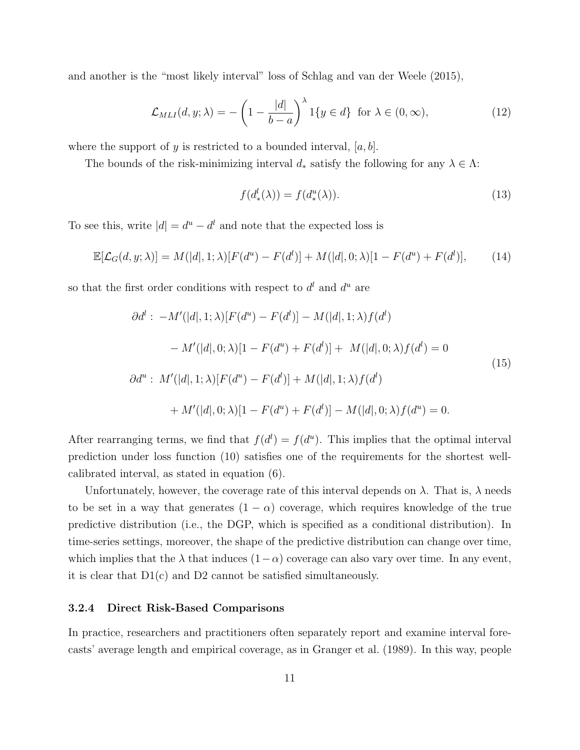and another is the "most likely interval" loss of [Schlag and van der Weele](#page-21-4) [\(2015\)](#page-21-4),

$$
\mathcal{L}_{MLI}(d, y; \lambda) = -\left(1 - \frac{|d|}{b - a}\right)^{\lambda} 1\{y \in d\} \text{ for } \lambda \in (0, \infty), \tag{12}
$$

where the support of y is restricted to a bounded interval,  $[a, b]$ .

The bounds of the risk-minimizing interval  $d_*$  satisfy the following for any  $\lambda \in \Lambda$ :

$$
f(d^l_*(\lambda)) = f(d^u_*(\lambda)).
$$
\n(13)

To see this, write  $|d| = d^u - d^l$  and note that the expected loss is

$$
\mathbb{E}[\mathcal{L}_G(d, y; \lambda)] = M(|d|, 1; \lambda)[F(d^u) - F(d^l)] + M(|d|, 0; \lambda)[1 - F(d^u) + F(d^l)], \tag{14}
$$

so that the first order conditions with respect to  $d<sup>l</sup>$  and  $d<sup>u</sup>$  are

$$
\partial d^{l}: -M'(|d|, 1; \lambda)[F(d^{u}) - F(d^{l})] - M(|d|, 1; \lambda)f(d^{l})
$$
  

$$
- M'(|d|, 0; \lambda)[1 - F(d^{u}) + F(d^{l})] + M(|d|, 0; \lambda)f(d^{l}) = 0
$$
  

$$
\partial d^{u}: M'(|d|, 1; \lambda)[F(d^{u}) - F(d^{l})] + M(|d|, 1; \lambda)f(d^{l})
$$
  

$$
+ M'(|d|, 0; \lambda)[1 - F(d^{u}) + F(d^{l})] - M(|d|, 0; \lambda)f(d^{u}) = 0.
$$
 (15)

After rearranging terms, we find that  $f(d^l) = f(d^u)$ . This implies that the optimal interval prediction under loss function [\(10\)](#page-10-2) satisfies one of the requirements for the shortest wellcalibrated interval, as stated in equation [\(6\)](#page-5-1).

Unfortunately, however, the coverage rate of this interval depends on  $\lambda$ . That is,  $\lambda$  needs to be set in a way that generates  $(1 - \alpha)$  coverage, which requires knowledge of the true predictive distribution (i.e., the DGP, which is specified as a conditional distribution). In time-series settings, moreover, the shape of the predictive distribution can change over time, which implies that the  $\lambda$  that induces  $(1-\alpha)$  coverage can also vary over time. In any event, it is clear that D1(c) and D2 cannot be satisfied simultaneously.

#### 3.2.4 Direct Risk-Based Comparisons

In practice, researchers and practitioners often separately report and examine interval forecasts' average length and empirical coverage, as in [Granger et al.](#page-20-2) [\(1989\)](#page-20-2). In this way, people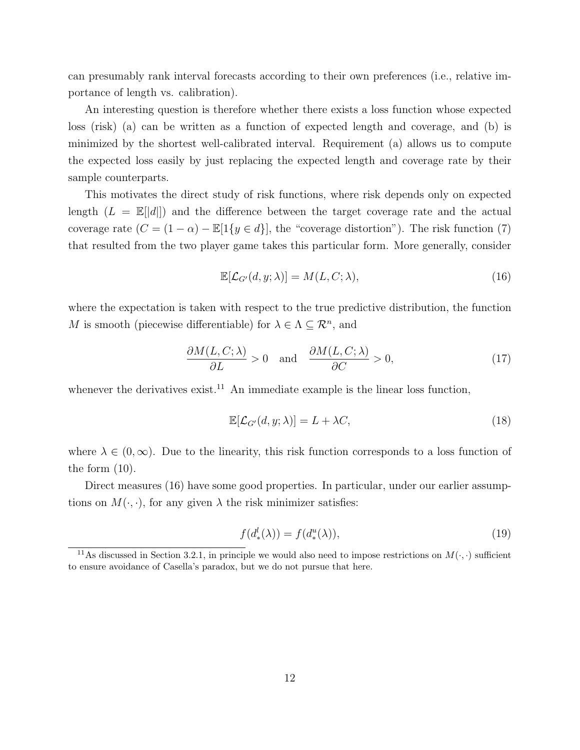can presumably rank interval forecasts according to their own preferences (i.e., relative importance of length vs. calibration).

An interesting question is therefore whether there exists a loss function whose expected loss (risk) (a) can be written as a function of expected length and coverage, and (b) is minimized by the shortest well-calibrated interval. Requirement (a) allows us to compute the expected loss easily by just replacing the expected length and coverage rate by their sample counterparts.

This motivates the direct study of risk functions, where risk depends only on expected length  $(L = \mathbb{E}||d||)$  and the difference between the target coverage rate and the actual coverage rate  $(C = (1 - \alpha) - \mathbb{E}[1\{y \in d\}],$  the "coverage distortion"). The risk function [\(7\)](#page-8-1) that resulted from the two player game takes this particular form. More generally, consider

<span id="page-12-1"></span>
$$
\mathbb{E}[\mathcal{L}_{G'}(d, y; \lambda)] = M(L, C; \lambda),\tag{16}
$$

where the expectation is taken with respect to the true predictive distribution, the function M is smooth (piecewise differentiable) for  $\lambda \in \Lambda \subseteq \mathbb{R}^n$ , and

$$
\frac{\partial M(L, C; \lambda)}{\partial L} > 0 \quad \text{and} \quad \frac{\partial M(L, C; \lambda)}{\partial C} > 0,
$$
\n(17)

whenever the derivatives exist.<sup>[11](#page-12-0)</sup> An immediate example is the linear loss function,

$$
\mathbb{E}[\mathcal{L}_{G'}(d, y; \lambda)] = L + \lambda C, \tag{18}
$$

where  $\lambda \in (0,\infty)$ . Due to the linearity, this risk function corresponds to a loss function of the form [\(10\)](#page-10-2).

Direct measures [\(16\)](#page-12-1) have some good properties. In particular, under our earlier assumptions on  $M(\cdot, \cdot)$ , for any given  $\lambda$  the risk minimizer satisfies:

$$
f(d^l_*(\lambda)) = f(d^u_*(\lambda)),\tag{19}
$$

<span id="page-12-0"></span><sup>&</sup>lt;sup>11</sup>As discussed in Section [3.2.1,](#page-7-0) in principle we would also need to impose restrictions on  $M(\cdot, \cdot)$  sufficient to ensure avoidance of Casella's paradox, but we do not pursue that here.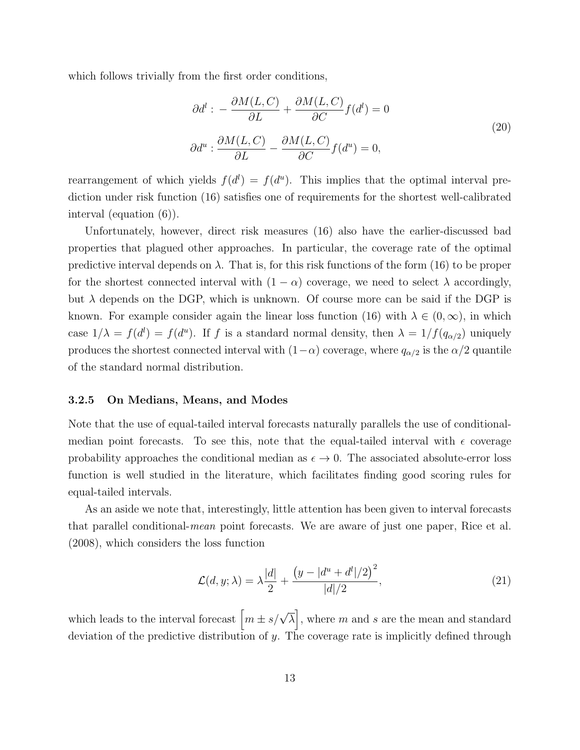which follows trivially from the first order conditions,

$$
\partial d^{l} : -\frac{\partial M(L, C)}{\partial L} + \frac{\partial M(L, C)}{\partial C} f(d^{l}) = 0
$$
  

$$
\partial d^{u} : \frac{\partial M(L, C)}{\partial L} - \frac{\partial M(L, C)}{\partial C} f(d^{u}) = 0,
$$
 (20)

rearrangement of which yields  $f(d^l) = f(d^u)$ . This implies that the optimal interval prediction under risk function [\(16\)](#page-12-1) satisfies one of requirements for the shortest well-calibrated interval (equation [\(6\)](#page-5-1)).

Unfortunately, however, direct risk measures [\(16\)](#page-12-1) also have the earlier-discussed bad properties that plagued other approaches. In particular, the coverage rate of the optimal predictive interval depends on  $\lambda$ . That is, for this risk functions of the form [\(16\)](#page-12-1) to be proper for the shortest connected interval with  $(1 - \alpha)$  coverage, we need to select  $\lambda$  accordingly, but  $\lambda$  depends on the DGP, which is unknown. Of course more can be said if the DGP is known. For example consider again the linear loss function [\(16\)](#page-12-1) with  $\lambda \in (0,\infty)$ , in which case  $1/\lambda = f(d^l) = f(d^u)$ . If f is a standard normal density, then  $\lambda = 1/f(q_{\alpha/2})$  uniquely produces the shortest connected interval with  $(1-\alpha)$  coverage, where  $q_{\alpha/2}$  is the  $\alpha/2$  quantile of the standard normal distribution.

#### 3.2.5 On Medians, Means, and Modes

Note that the use of equal-tailed interval forecasts naturally parallels the use of conditionalmedian point forecasts. To see this, note that the equal-tailed interval with  $\epsilon$  coverage probability approaches the conditional median as  $\epsilon \to 0$ . The associated absolute-error loss function is well studied in the literature, which facilitates finding good scoring rules for equal-tailed intervals.

As an aside we note that, interestingly, little attention has been given to interval forecasts that parallel conditional-mean point forecasts. We are aware of just one paper, [Rice et al.](#page-21-6) [\(2008\)](#page-21-6), which considers the loss function

$$
\mathcal{L}(d, y; \lambda) = \lambda \frac{|d|}{2} + \frac{\left(y - |d^u + d^l|/2\right)^2}{|d|/2},\tag{21}
$$

which leads to the interval forecast  $\left[ m \pm s/\sqrt{\lambda} \right]$ , where m and s are the mean and standard deviation of the predictive distribution of y. The coverage rate is implicitly defined through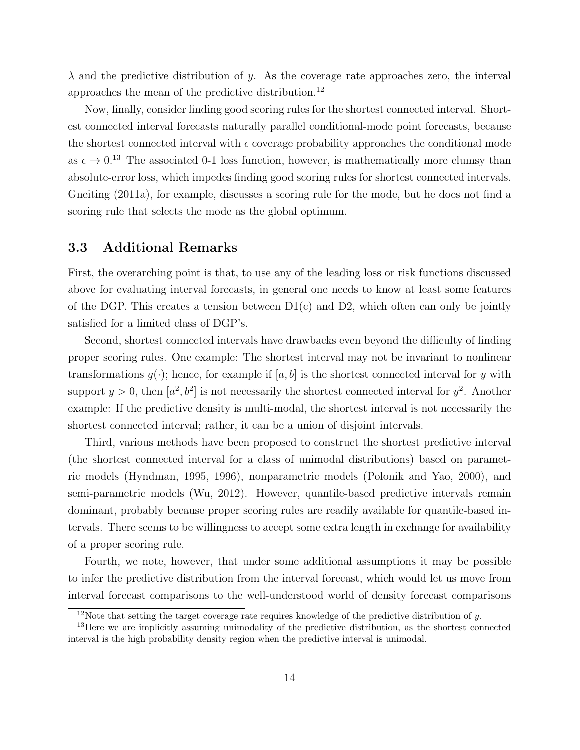$\lambda$  and the predictive distribution of y. As the coverage rate approaches zero, the interval approaches the mean of the predictive distribution.[12](#page-14-0)

Now, finally, consider finding good scoring rules for the shortest connected interval. Shortest connected interval forecasts naturally parallel conditional-mode point forecasts, because the shortest connected interval with  $\epsilon$  coverage probability approaches the conditional mode as  $\epsilon \to 0.13$  $\epsilon \to 0.13$  The associated 0-1 loss function, however, is mathematically more clumsy than absolute-error loss, which impedes finding good scoring rules for shortest connected intervals. [Gneiting](#page-20-10) [\(2011a\)](#page-20-10), for example, discusses a scoring rule for the mode, but he does not find a scoring rule that selects the mode as the global optimum.

#### 3.3 Additional Remarks

First, the overarching point is that, to use any of the leading loss or risk functions discussed above for evaluating interval forecasts, in general one needs to know at least some features of the DGP. This creates a tension between  $D1(c)$  and D2, which often can only be jointly satisfied for a limited class of DGP's.

Second, shortest connected intervals have drawbacks even beyond the difficulty of finding proper scoring rules. One example: The shortest interval may not be invariant to nonlinear transformations  $g(\cdot)$ ; hence, for example if [a, b] is the shortest connected interval for y with support  $y > 0$ , then  $[a^2, b^2]$  is not necessarily the shortest connected interval for  $y^2$ . Another example: If the predictive density is multi-modal, the shortest interval is not necessarily the shortest connected interval; rather, it can be a union of disjoint intervals.

Third, various methods have been proposed to construct the shortest predictive interval (the shortest connected interval for a class of unimodal distributions) based on parametric models [\(Hyndman, 1995,](#page-20-11) [1996\)](#page-20-12), nonparametric models [\(Polonik and Yao, 2000\)](#page-21-7), and semi-parametric models [\(Wu, 2012\)](#page-21-8). However, quantile-based predictive intervals remain dominant, probably because proper scoring rules are readily available for quantile-based intervals. There seems to be willingness to accept some extra length in exchange for availability of a proper scoring rule.

Fourth, we note, however, that under some additional assumptions it may be possible to infer the predictive distribution from the interval forecast, which would let us move from interval forecast comparisons to the well-understood world of density forecast comparisons

<span id="page-14-1"></span><span id="page-14-0"></span><sup>&</sup>lt;sup>12</sup>Note that setting the target coverage rate requires knowledge of the predictive distribution of  $y$ .

<sup>&</sup>lt;sup>13</sup>Here we are implicitly assuming unimodality of the predictive distribution, as the shortest connected interval is the high probability density region when the predictive interval is unimodal.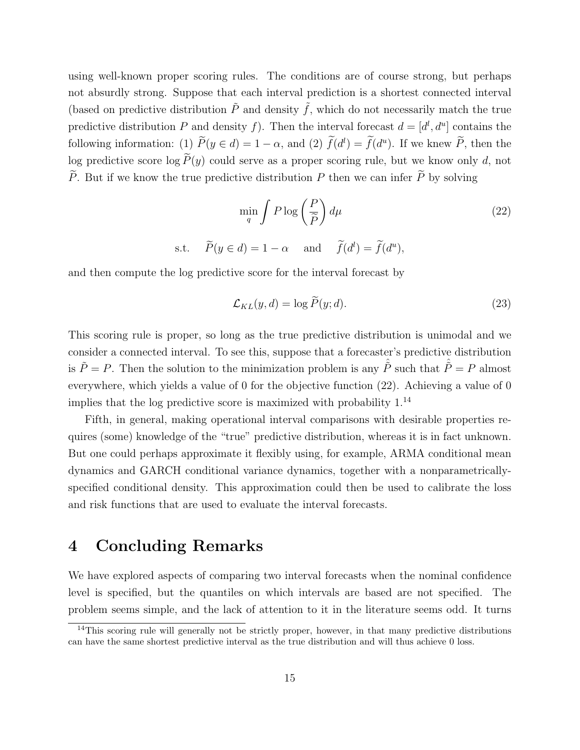using well-known proper scoring rules. The conditions are of course strong, but perhaps not absurdly strong. Suppose that each interval prediction is a shortest connected interval (based on predictive distribution  $\tilde{P}$  and density  $\tilde{f}$ , which do not necessarily match the true predictive distribution P and density f). Then the interval forecast  $d = [d^l, d^u]$  contains the following information: (1)  $\tilde{P}(y \in d) = 1 - \alpha$ , and (2)  $\tilde{f}(d^l) = \tilde{f}(d^u)$ . If we knew  $\tilde{P}$ , then the log predictive score log  $\widetilde{P}(y)$  could serve as a proper scoring rule, but we know only d, not  $\widetilde{P}$ . But if we know the true predictive distribution P then we can infer  $\widetilde{P}$  by solving

<span id="page-15-1"></span>
$$
\min_{q} \int P \log \left( \frac{P}{\tilde{P}} \right) d\mu
$$
\ns.t.  $\tilde{P}(y \in d) = 1 - \alpha$  and  $\tilde{f}(d^l) = \tilde{f}(d^u)$ , (22)

and then compute the log predictive score for the interval forecast by

$$
\mathcal{L}_{KL}(y,d) = \log P(y;d). \tag{23}
$$

This scoring rule is proper, so long as the true predictive distribution is unimodal and we consider a connected interval. To see this, suppose that a forecaster's predictive distribution is  $\tilde{P} = P$ . Then the solution to the minimization problem is any  $\hat{\tilde{P}}$  such that  $\hat{\tilde{P}} = P$  almost everywhere, which yields a value of 0 for the objective function [\(22\)](#page-15-1). Achieving a value of 0 implies that the log predictive score is maximized with probability  $1^{14}$  $1^{14}$  $1^{14}$ 

Fifth, in general, making operational interval comparisons with desirable properties requires (some) knowledge of the "true" predictive distribution, whereas it is in fact unknown. But one could perhaps approximate it flexibly using, for example, ARMA conditional mean dynamics and GARCH conditional variance dynamics, together with a nonparametricallyspecified conditional density. This approximation could then be used to calibrate the loss and risk functions that are used to evaluate the interval forecasts.

## <span id="page-15-0"></span>4 Concluding Remarks

We have explored aspects of comparing two interval forecasts when the nominal confidence level is specified, but the quantiles on which intervals are based are not specified. The problem seems simple, and the lack of attention to it in the literature seems odd. It turns

<span id="page-15-2"></span> $14$ This scoring rule will generally not be strictly proper, however, in that many predictive distributions can have the same shortest predictive interval as the true distribution and will thus achieve 0 loss.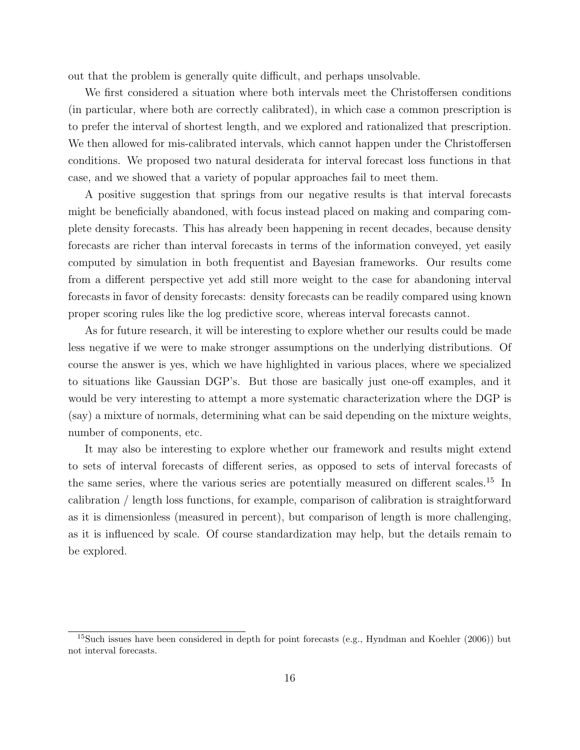out that the problem is generally quite difficult, and perhaps unsolvable.

We first considered a situation where both intervals meet the Christoffersen conditions (in particular, where both are correctly calibrated), in which case a common prescription is to prefer the interval of shortest length, and we explored and rationalized that prescription. We then allowed for mis-calibrated intervals, which cannot happen under the Christoffersen conditions. We proposed two natural desiderata for interval forecast loss functions in that case, and we showed that a variety of popular approaches fail to meet them.

A positive suggestion that springs from our negative results is that interval forecasts might be beneficially abandoned, with focus instead placed on making and comparing complete density forecasts. This has already been happening in recent decades, because density forecasts are richer than interval forecasts in terms of the information conveyed, yet easily computed by simulation in both frequentist and Bayesian frameworks. Our results come from a different perspective yet add still more weight to the case for abandoning interval forecasts in favor of density forecasts: density forecasts can be readily compared using known proper scoring rules like the log predictive score, whereas interval forecasts cannot.

As for future research, it will be interesting to explore whether our results could be made less negative if we were to make stronger assumptions on the underlying distributions. Of course the answer is yes, which we have highlighted in various places, where we specialized to situations like Gaussian DGP's. But those are basically just one-off examples, and it would be very interesting to attempt a more systematic characterization where the DGP is (say) a mixture of normals, determining what can be said depending on the mixture weights, number of components, etc.

It may also be interesting to explore whether our framework and results might extend to sets of interval forecasts of different series, as opposed to sets of interval forecasts of the same series, where the various series are potentially measured on different scales.<sup>[15](#page-16-0)</sup> In calibration / length loss functions, for example, comparison of calibration is straightforward as it is dimensionless (measured in percent), but comparison of length is more challenging, as it is influenced by scale. Of course standardization may help, but the details remain to be explored.

<span id="page-16-0"></span> $15$ Such issues have been considered in depth for point forecasts (e.g., [Hyndman and Koehler](#page-21-9) [\(2006\)](#page-21-9)) but not interval forecasts.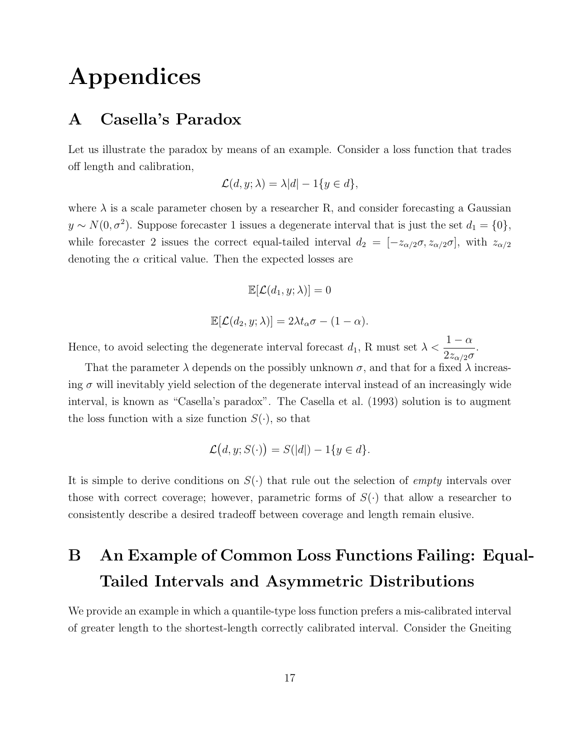# Appendices

## <span id="page-17-0"></span>A Casella's Paradox

Let us illustrate the paradox by means of an example. Consider a loss function that trades off length and calibration,

$$
\mathcal{L}(d, y; \lambda) = \lambda |d| - 1\{y \in d\},
$$

where  $\lambda$  is a scale parameter chosen by a researcher R, and consider forecasting a Gaussian  $y \sim N(0, \sigma^2)$ . Suppose forecaster 1 issues a degenerate interval that is just the set  $d_1 = \{0\},$ while forecaster 2 issues the correct equal-tailed interval  $d_2 = [-z_{\alpha/2}\sigma, z_{\alpha/2}\sigma]$ , with  $z_{\alpha/2}$ denoting the  $\alpha$  critical value. Then the expected losses are

$$
\mathbb{E}[\mathcal{L}(d_1, y; \lambda)] = 0
$$
  

$$
\mathbb{E}[\mathcal{L}(d_2, y; \lambda)] = 2\lambda t_\alpha \sigma - (1 - \alpha).
$$

Hence, to avoid selecting the degenerate interval forecast  $d_1$ , R must set  $\lambda < \frac{1-\alpha}{2\alpha}$  $2z_{\alpha/2}\sigma$ .

That the parameter  $\lambda$  depends on the possibly unknown  $\sigma$ , and that for a fixed  $\lambda$  increasing  $\sigma$  will inevitably yield selection of the degenerate interval instead of an increasingly wide interval, is known as "Casella's paradox". The [Casella et al.](#page-20-1) [\(1993\)](#page-20-1) solution is to augment the loss function with a size function  $S(\cdot)$ , so that

$$
\mathcal{L}(d, y; S(\cdot)) = S(|d|) - 1\{y \in d\}.
$$

It is simple to derive conditions on  $S(\cdot)$  that rule out the selection of *empty* intervals over those with correct coverage; however, parametric forms of  $S(\cdot)$  that allow a researcher to consistently describe a desired tradeoff between coverage and length remain elusive.

# <span id="page-17-1"></span>B An Example of Common Loss Functions Failing: Equal-Tailed Intervals and Asymmetric Distributions

We provide an example in which a quantile-type loss function prefers a mis-calibrated interval of greater length to the shortest-length correctly calibrated interval. Consider the [Gneiting](#page-20-4)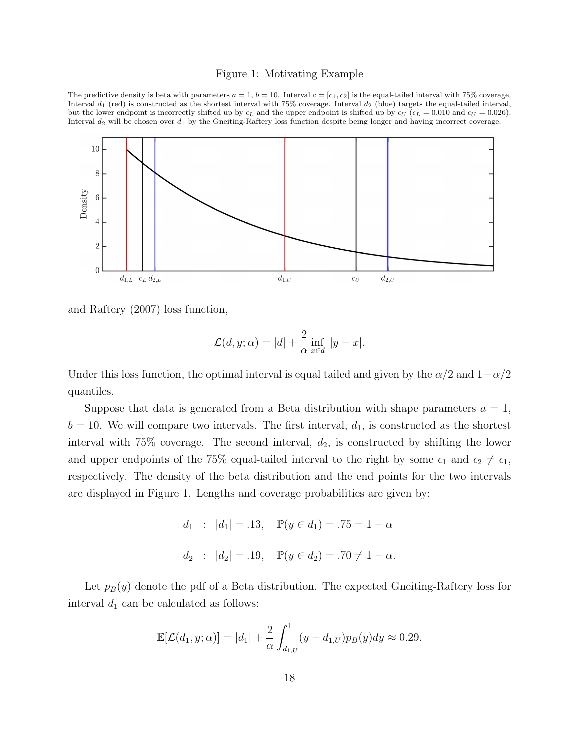#### [Figure 1: Motivating Example](#page-20-4)

<span id="page-18-0"></span>The predictive density is beta with parameters  $a = 1$ ,  $b = 10$ . Interval  $c = [c_1, c_2]$  is the equal-tailed interval with 75% coverage. Interval  $d_1$  (red) is constructed as the shortest interval with 75% coverage. Interval  $d_2$  (blue) targets the equal-tailed interval, but the lower endpoint is incorrectly shifted up by  $\epsilon_L$  and the upper endpoint is shifted up by  $\epsilon_U$  ( $\epsilon_L$  = 0.010 and  $\epsilon_U$  = 0.026). Interval  $d_2$  will be chosen over  $d_1$  by the Gneiting-Raftery loss function despite being longer and having incorrect coverage.



[and Raftery](#page-20-4) [\(2007\)](#page-20-4) loss function,

$$
\mathcal{L}(d, y; \alpha) = |d| + \frac{2}{\alpha} \inf_{x \in d} |y - x|.
$$

Under this loss function, the optimal interval is equal tailed and given by the  $\alpha/2$  and  $1-\alpha/2$ quantiles.

Suppose that data is generated from a Beta distribution with shape parameters  $a = 1$ ,  $b = 10$ . We will compare two intervals. The first interval,  $d_1$ , is constructed as the shortest interval with  $75\%$  coverage. The second interval,  $d_2$ , is constructed by shifting the lower and upper endpoints of the 75% equal-tailed interval to the right by some  $\epsilon_1$  and  $\epsilon_2 \neq \epsilon_1$ , respectively. The density of the beta distribution and the end points for the two intervals are displayed in Figure [1.](#page-18-0) Lengths and coverage probabilities are given by:

$$
d_1
$$
 :  $|d_1| = .13$ ,  $\mathbb{P}(y \in d_1) = .75 = 1 - \alpha$   
 $d_2$  :  $|d_2| = .19$ ,  $\mathbb{P}(y \in d_2) = .70 \neq 1 - \alpha$ .

Let  $p_B(y)$  denote the pdf of a Beta distribution. The expected Gneiting-Raftery loss for interval  $d_1$  can be calculated as follows:

$$
\mathbb{E}[\mathcal{L}(d_1, y; \alpha)] = |d_1| + \frac{2}{\alpha} \int_{d_{1,U}}^1 (y - d_{1,U}) p_B(y) dy \approx 0.29.
$$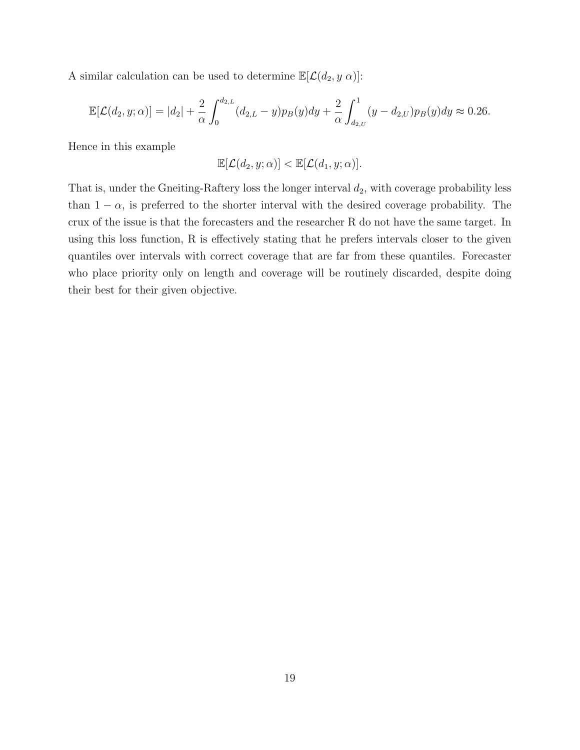A similar calculation can be used to determine  $\mathbb{E}[\mathcal{L}(d_2, y \alpha)]$ :

$$
\mathbb{E}[\mathcal{L}(d_2, y; \alpha)] = |d_2| + \frac{2}{\alpha} \int_0^{d_{2,L}} (d_{2,L} - y) p_B(y) dy + \frac{2}{\alpha} \int_{d_{2,U}}^1 (y - d_{2,U}) p_B(y) dy \approx 0.26.
$$

Hence in this example

$$
\mathbb{E}[\mathcal{L}(d_2, y; \alpha)] < \mathbb{E}[\mathcal{L}(d_1, y; \alpha)].
$$

That is, under the Gneiting-Raftery loss the longer interval  $d_2$ , with coverage probability less than  $1 - \alpha$ , is preferred to the shorter interval with the desired coverage probability. The crux of the issue is that the forecasters and the researcher R do not have the same target. In using this loss function, R is effectively stating that he prefers intervals closer to the given quantiles over intervals with correct coverage that are far from these quantiles. Forecaster who place priority only on length and coverage will be routinely discarded, despite doing their best for their given objective.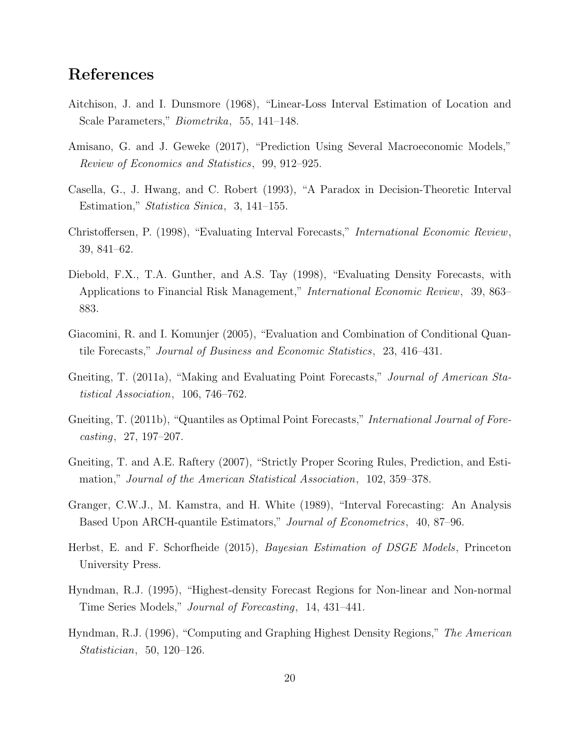## References

- <span id="page-20-0"></span>Aitchison, J. and I. Dunsmore (1968), "Linear-Loss Interval Estimation of Location and Scale Parameters," Biometrika, 55, 141–148.
- <span id="page-20-7"></span>Amisano, G. and J. Geweke (2017), "Prediction Using Several Macroeconomic Models," Review of Economics and Statistics, 99, 912–925.
- <span id="page-20-1"></span>Casella, G., J. Hwang, and C. Robert (1993), "A Paradox in Decision-Theoretic Interval Estimation," Statistica Sinica, 3, 141–155.
- <span id="page-20-5"></span>Christoffersen, P. (1998), "Evaluating Interval Forecasts," International Economic Review, 39, 841–62.
- <span id="page-20-6"></span>Diebold, F.X., T.A. Gunther, and A.S. Tay (1998), "Evaluating Density Forecasts, with Applications to Financial Risk Management," International Economic Review, 39, 863– 883.
- <span id="page-20-3"></span>Giacomini, R. and I. Komunjer (2005), "Evaluation and Combination of Conditional Quantile Forecasts," Journal of Business and Economic Statistics, 23, 416–431.
- <span id="page-20-10"></span>Gneiting, T. (2011a), "Making and Evaluating Point Forecasts," Journal of American Statistical Association, 106, 746–762.
- <span id="page-20-9"></span>Gneiting, T. (2011b), "Quantiles as Optimal Point Forecasts," *International Journal of Fore*casting, 27, 197–207.
- <span id="page-20-4"></span>Gneiting, T. and A.E. Raftery (2007), "Strictly Proper Scoring Rules, Prediction, and Estimation," Journal of the American Statistical Association, 102, 359–378.
- <span id="page-20-2"></span>Granger, C.W.J., M. Kamstra, and H. White (1989), "Interval Forecasting: An Analysis Based Upon ARCH-quantile Estimators," Journal of Econometrics, 40, 87–96.
- <span id="page-20-8"></span>Herbst, E. and F. Schorfheide (2015), Bayesian Estimation of DSGE Models, Princeton University Press.
- <span id="page-20-11"></span>Hyndman, R.J. (1995), "Highest-density Forecast Regions for Non-linear and Non-normal Time Series Models," Journal of Forecasting, 14, 431–441.
- <span id="page-20-12"></span>Hyndman, R.J. (1996), "Computing and Graphing Highest Density Regions," The American Statistician, 50, 120–126.